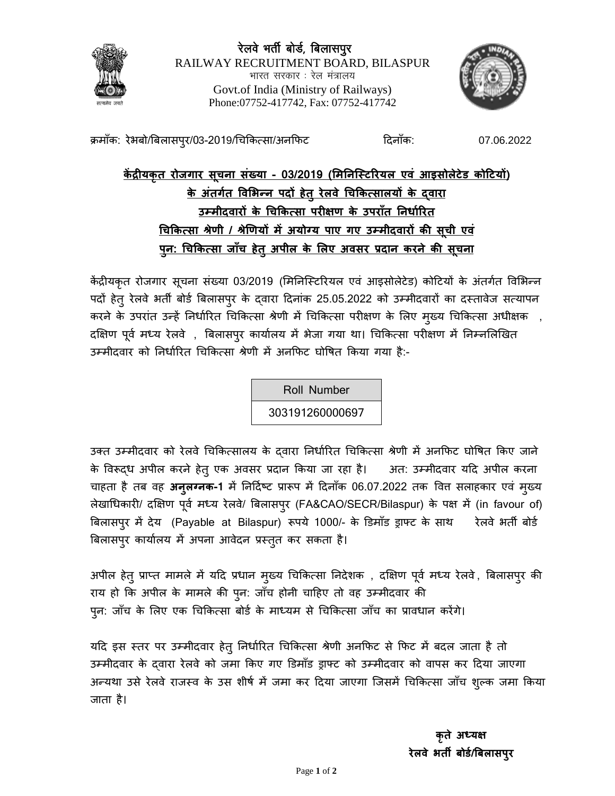

रेलवे भर्ती बोर्ड, बिलासपुर RAILWAY RECRUITMENT BOARD, BILASPUR भारत सरकार . रेल मंत्रालय Govt.of India (Ministry of Railways) Phone:07752-417742, Fax: 07752-417742



क्रमॉंक: रेभबो/बिलासप्र/03-2019/चिकित्सा/अनफिट दिनॉंक: 07.06.2022

**केंद्रीयकृत रोजगार सचू ना सख्ं या - 03/2019 (मिननस्टिररयऱ एवं आइसोऱेिेड कोटियों) के अतं गतग ववमिन्न पदों हेतुरेऱवेचचककत्साऱयों के द्वारा उम्िीदवारों के चचककत्सा परीऺण के उपरााँत ननर्ागररत चचककत्सा श्रेणी / श्रेणणयों िेंअयोग्य पाए गए उम्िीदवारों की सचू ी एवं पनु : चचककत्सा जााँच हेतुअपीऱ के मऱए अवसर प्रदान करने की सचू ना**

केंद्रीयकृत रोजगार सूचना संख्या 03/2019 (मिनिस्टिरियल एवं आइसोलेटेड) कोटियों के अंतर्गत विभिन्न पदों हेतु रेलवे भर्ती बोर्ड बिलासपुर के दवारा दिनांक 25.05.2022 को उम्मीदवारों का दस्तावेज सत्यापन करने के उपरांत उन्हें निर्धारित चिकित्सा श्रेणी में चिकित्सा परीक्षण के लिए मुख्य चिकित्सा अधीक्षक , दक्षिण पूर्व मध्य रेलवे , बिलासपुर कार्यालय में भेजा गया था। चिकित्सा परीक्षण में निम्नलिखित उम्मीदवार को निर्धारित चिकित्सा श्रेणी में अनफिट घोषित किया गया है:-

Roll Number

303191260000697

उक्त उम्मीदवार को रेलवे चिकित्सालय के दवारा निर्धारित चिकित्सा श्रेणी में अनफिट घोषित किए जाने के विरूद्ध अपील करने हेतु एक अवसर प्रदान किया जा रहा है। अत: उम्मीदवार यदि अपील करना चाहता है तब वह अन्**लग्नक-1** में निर्दिष्ट प्रारूप में दिनाँक 06.07.2022 तक वित सलाहकार एवं मुख्य त्रेखाधिकारी/ दक्षिण पूर्व मध्य रेलवे/ बिलासपुर (FA&CAO/SECR/Bilaspur) के पक्ष में (in favour of) बिलासपुर में देय (Payable at Bilaspur) रूपये 1000/- के डिमॉंड ड्राफ्ट के साथ रेलवे भर्ती बोर्ड बिलासपुर कार्यालय में अपना आवेदन प्रस्तुत कर सकता है।

अपील हेतु प्राप्त मामले में यदि प्रधान मुख्य चिकित्सा निदेशक , दक्षिण पूर्व मध्य रेलवे, बिलासपुर की राय हो कि अपील के मामले की पुन: जाँच होनी चाहिए तो वह उम्मीदवार की प्न: जाँच के लिए एक चिकित्सा बोर्ड के माध्यम से चिकित्सा जाँच का प्रावधान करेंगे।

यदि इस स्तर पर उम्मीदवार हेतु निर्धारित चिकित्सा श्रेणी अनफिट से फिट में बदल जाता है तो उम्मीदवार के दवारा रेलवे को जमा किए गए डिमाँड ड्राफ्ट को उम्मीदवार को वापस कर दिया जाएगा अन्यथा उसे रेलवे राजस्व के उस शीर्ष में जमा कर दिया जाएगा जिसमें चिकित्सा जाँच शुल्क जमा किया जाता है।

> **कृते अध्यऺ रेऱवे िती बोडग/बबऱासपुर**